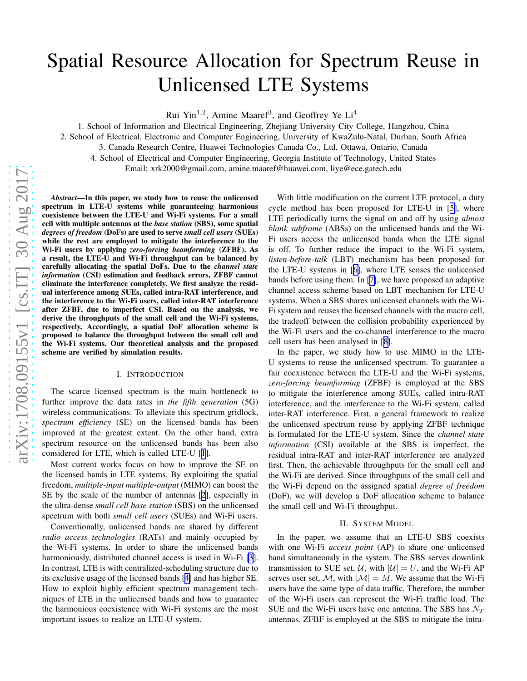# Spatial Resource Allocation for Spectrum Reuse in Unlicensed LTE Systems

Rui Yin<sup>1,2</sup>, Amine Maaref<sup>3</sup>, and Geoffrey Ye Li<sup>4</sup>

1. School of Information and Electrical Engineering, Zhejiang University City College, Hangzhou, China

2. School of Electrical, Electronic and Computer Engineering, University of KwaZulu-Natal, Durban, South Africa

3. Canada Research Centre, Huawei Technologies Canada Co., Ltd, Ottawa, Ontario, Canada

4. School of Electrical and Computer Engineering, Georgia Institute of Technology, United States

Email: xrk2000@gmail.com, amine.maaref@huawei.com, liye@ece.gatech.edu

*Abstract*—In this paper, we study how to reuse the unlicensed spectrum in LTE-U systems while guaranteeing harmonious coexistence between the LTE-U and Wi-Fi systems. For a small cell with multiple antennas at the *base station* (SBS), some spatial *degrees of freedom* (DoFs) are used to serve *small cell users* (SUEs) while the rest are employed to mitigate the interference to the Wi-Fi users by applying *zero-forcing beamforming* (ZFBF). As a result, the LTE-U and Wi-Fi throughput can be balanced by carefully allocating the spatial DoFs. Due to the *channel state information* (CSI) estimation and feedback errors, ZFBF cannot eliminate the interference completely. We first analyze the residual interference among SUEs, called intra-RAT interference, and the interference to the Wi-Fi users, called inter-RAT interference after ZFBF, due to imperfect CSI. Based on the analysis, we derive the throughputs of the small cell and the Wi-Fi systems, respectively. Accordingly, a spatial DoF allocation scheme is proposed to balance the throughput between the small cell and the Wi-Fi systems. Our theoretical analysis and the proposed scheme are verified by simulation results.

# I. INTRODUCTION

The scarce licensed spectrum is the main bottleneck to further improve the data rates in *the fifth generation* (5G) wireless communications. To alleviate this spectrum gridlock, *spectrum efficiency* (SE) on the licensed bands has been improved at the greatest extent. On the other hand, extra spectrum resource on the unlicensed bands has been also considered for LTE, which is called LTE-U [[1](#page-5-0)].

Most current works focus on how to improve the SE on the licensed bands in LTE systems. By exploiting the spatial freedom, *multiple-input multiple-output* (MIMO) can boost the SE by the scale of the number of antennas [\[2](#page-5-0)], especially in the ultra-dense *small cell base station* (SBS) on the unlicensed spectrum with both *small cell users* (SUEs) and Wi-Fi users.

Conventionally, unlicensed bands are shared by different *radio access technologies* (RATs) and mainly occupied by the Wi-Fi systems. In order to share the unlicensed bands harmoniously, distributed channel access is used in Wi-Fi [\[3](#page-5-0)]. In contrast, LTE is with centralized-scheduling structure due to its exclusive usage of the licensed bands [[4\]](#page-5-0) and has higher SE. How to exploit highly efficient spectrum management techniques of LTE in the unlicensed bands and how to guarantee the harmonious coexistence with Wi-Fi systems are the most important issues to realize an LTE-U system.

With little modification on the current LTE protocol, a duty cycle method has been proposed for LTE-U in [[5\]](#page-5-0), where LTE periodically turns the signal on and off by using *almost blank subframe* (ABSs) on the unlicensed bands and the Wi-Fi users access the unlicensed bands when the LTE signal is off. To further reduce the impact to the Wi-Fi system, *listen-before-talk* (LBT) mechanism has been proposed for the LTE-U systems in [[6\]](#page-5-0), where LTE senses the unlicensed bands before using them. In [[7\]](#page-5-0), we have proposed an adaptive channel access scheme based on LBT mechanism for LTE-U systems. When a SBS shares unlicensed channels with the Wi-Fi system and reuses the licensed channels with the macro cell, the tradeoff between the collision probability experienced by the Wi-Fi users and the co-channel interference to the macro cell users has been analysed in [[8\]](#page-5-0).

In the paper, we study how to use MIMO in the LTE-U systems to reuse the unlicensed spectrum. To guarantee a fair coexistence between the LTE-U and the Wi-Fi systems, *zero-forcing beamforming* (ZFBF) is employed at the SBS to mitigate the interference among SUEs, called intra-RAT interference, and the interference to the Wi-Fi system, called inter-RAT interference. First, a general framework to realize the unlicensed spectrum reuse by applying ZFBF technique is formulated for the LTE-U system. Since the *channel state information* (CSI) available at the SBS is imperfect, the residual intra-RAT and inter-RAT interference are analyzed first. Then, the achievable throughputs for the small cell and the Wi-Fi are derived. Since throughputs of the small cell and the Wi-Fi depend on the assigned spatial *degree of freedom* (DoF), we will develop a DoF allocation scheme to balance the small cell and Wi-Fi throughput.

## II. SYSTEM MODEL

In the paper, we assume that an LTE-U SBS coexists with one Wi-Fi *access point* (AP) to share one unlicensed band simultaneously in the system. The SBS serves downlink transmission to SUE set,  $U$ , with  $|U| = U$ , and the Wi-Fi AP serves user set, M, with  $|M| = M$ . We assume that the Wi-Fi users have the same type of data traffic. Therefore, the number of the Wi-Fi users can represent the Wi-Fi traffic load. The SUE and the Wi-Fi users have one antenna. The SBS has  $N_T$ antennas. ZFBF is employed at the SBS to mitigate the intra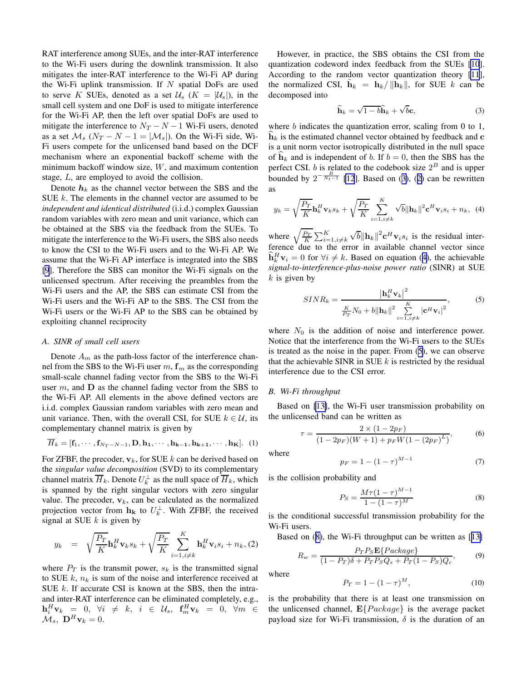<span id="page-1-0"></span>RAT interference among SUEs, and the inter-RAT interference to the Wi-Fi users during the downlink transmission. It also mitigates the inter-RAT interference to the Wi-Fi AP during the Wi-Fi uplink transmission. If  $N$  spatial DoFs are used to serve K SUEs, denoted as a set  $\mathcal{U}_s$  ( $K = |\mathcal{U}_s|$ ), in the small cell system and one DoF is used to mitigate interference for the Wi-Fi AP, then the left over spatial DoFs are used to mitigate the interference to  $N_T - N - 1$  Wi-Fi users, denoted as a set  $\mathcal{M}_s$  ( $N_T - N - 1 = |\mathcal{M}_s|$ ). On the Wi-Fi side, Wi-Fi users compete for the unlicensed band based on the DCF mechanism where an exponential backoff scheme with the minimum backoff window size,  $W$ , and maximum contention stage, L, are employed to avoid the collision.

Denote  $h_k$  as the channel vector between the SBS and the SUE k. The elements in the channel vector are assumed to be *independent and identical distributed* (i.i.d.) complex Gaussian random variables with zero mean and unit variance, which can be obtained at the SBS via the feedback from the SUEs. To mitigate the interference to the Wi-Fi users, the SBS also needs to know the CSI to the Wi-Fi users and to the Wi-Fi AP. We assume that the Wi-Fi AP interface is integrated into the SBS [\[9](#page-5-0)]. Therefore the SBS can monitor the Wi-Fi signals on the unlicensed spectrum. After receiving the preambles from the Wi-Fi users and the AP, the SBS can estimate CSI from the Wi-Fi users and the Wi-Fi AP to the SBS. The CSI from the Wi-Fi users or the Wi-Fi AP to the SBS can be obtained by exploiting channel reciprocity

## *A. SINR of small cell users*

Denote  $A_m$  as the path-loss factor of the interference channel from the SBS to the Wi-Fi user  $m, f_m$  as the corresponding small-scale channel fading vector from the SBS to the Wi-Fi user  $m$ , and  **as the channel fading vector from the SBS to** the Wi-Fi AP. All elements in the above defined vectors are i.i.d. complex Gaussian random variables with zero mean and unit variance. Then, with the overall CSI, for SUE  $k \in \mathcal{U}$ , its complementary channel matrix is given by

$$
\overline{H}_k = [\mathbf{f}_1, \cdots, \mathbf{f}_{N_T - N - 1}, \mathbf{D}, \mathbf{h}_1, \cdots, \mathbf{h}_{k-1}, \mathbf{h}_{k+1}, \cdots, \mathbf{h}_K].
$$
 (1)

For ZFBF, the precoder,  $v_k$ , for SUE k can be derived based on the *singular value decomposition* (SVD) to its complementary channel matrix  $\overline{H}_k$ . Denote  $U_k^{\perp}$  as the null space of  $\overline{H}_k$ , which is spanned by the right singular vectors with zero singular value. The precoder,  $v_k$ , can be calculated as the normalized projection vector from  $\mathbf{h}_{\mathbf{k}}$  to  $U_k^{\perp}$ . With ZFBF, the received signal at SUE  $k$  is given by

$$
y_k = \sqrt{\frac{P_T}{K}} \mathbf{h}_k^H \mathbf{v}_k s_k + \sqrt{\frac{P_T}{K}} \sum_{i=1, i \neq k}^K \mathbf{h}_k^H \mathbf{v}_i s_i + n_k, (2)
$$

where  $P_T$  is the transmit power,  $s_k$  is the transmitted signal to SUE  $k$ ,  $n_k$  is sum of the noise and interference received at SUE  $k$ . If accurate CSI is known at the SBS, then the intraand inter-RAT interference can be eliminated completely, e.g.,  $\mathbf{h}_i^H \mathbf{v}_k = 0, \ \forall i \neq k, \ i \in \mathcal{U}_s, \ \mathbf{f}_m^H \mathbf{v}_k = 0, \ \forall m \in \mathcal{U}_s$  $\mathcal{M}_s$ ,  $\mathbf{D}^H \mathbf{v}_k = 0$ .

However, in practice, the SBS obtains the CSI from the quantization codeword index feedback from the SUEs [\[10](#page-5-0)]. According to the random vector quantization theory [\[11](#page-5-0)], the normalized CSI,  $\tilde{\mathbf{h}}_k = \mathbf{h}_k / ||\tilde{\mathbf{h}}_k||$ , for SUE k can be decomposed into

$$
\widetilde{\mathbf{h}}_k = \sqrt{1 - b} \widehat{\mathbf{h}}_k + \sqrt{b} \mathbf{c},\tag{3}
$$

where *b* indicates the quantization error, scaling from 0 to 1,  $\mathbf{h}_k$  is the estimated channel vector obtained by feedback and c is a unit norm vector isotropically distributed in the null space of  $h_k$  and is independent of b. If  $b = 0$ , then the SBS has the perfect CSI. *b* is related to the codebook size  $2^B$  and is upper bounded by  $2^{-\frac{B}{N_t-1}}$  [\[12](#page-5-0)]. Based on (3), (2) can be rewritten as

$$
y_k = \sqrt{\frac{P_T}{K}} \mathbf{h}_k^H \mathbf{v}_k s_k + \sqrt{\frac{P_T}{K}} \sum_{i=1, i \neq k}^K \sqrt{b} ||\mathbf{h}_k||^2 \mathbf{c}^H \mathbf{v}_i s_i + n_k, \tag{4}
$$

where  $\sqrt{\frac{P_T}{K}} \sum_{i=1, i \neq k}^{K} \sqrt{b} ||\mathbf{h}_k||^2 \mathbf{c}^H \mathbf{v}_i s_i$  is the residual interference due to the error in available channel vector since  $\hat{\mathbf{h}}_k^H \mathbf{v}_i = 0$  for  $\forall i \neq k$ . Based on equation (4), the achievable *signal-to-interference-plus-noise power ratio* (SINR) at SUE  $k$  is given by

$$
SINR_{k} = \frac{\left|\mathbf{h}_{k}^{H}\mathbf{v}_{k}\right|^{2}}{\frac{K}{P_{T}}N_{0} + b\left\|\mathbf{h}_{k}\right\|^{2} \sum_{i=1, i \neq k}^{K}\left|\mathbf{c}^{H}\mathbf{v}_{i}\right|^{2}},
$$
(5)

where  $N_0$  is the addition of noise and interference power. Notice that the interference from the Wi-Fi users to the SUEs is treated as the noise in the paper. From (5), we can observe that the achievable SINR in SUE  $k$  is restricted by the residual interference due to the CSI error.

### *B. Wi-Fi throughput*

Based on [\[13\]](#page-5-0), the Wi-Fi user transmission probability on the unlicensed band can be written as

$$
\tau = \frac{2 \times (1 - 2p_F)}{(1 - 2p_F)(W + 1) + p_F W (1 - (2p_F)^L)},\tag{6}
$$

where

$$
p_F = 1 - (1 - \tau)^{M - 1} \tag{7}
$$

is the collision probability and

$$
P_S = \frac{M\tau (1 - \tau)^{M - 1}}{1 - (1 - \tau)^M}
$$
 (8)

is the conditional successful transmission probability for the Wi-Fi users.

Based on (8), the Wi-Fi throughput can be written as [[13\]](#page-5-0)

$$
R_w = \frac{P_T P_S \mathbf{E} \{Pack} Q_s}{(1 - P_T)\delta + P_T P_S Q_s + P_T (1 - P_S) Q_c},\tag{9}
$$

where

$$
P_T = 1 - (1 - \tau)^M, \tag{10}
$$

is the probability that there is at least one transmission on the unlicensed channel,  $\mathbf{E} \{Pack}$  is the average packet payload size for Wi-Fi transmission,  $\delta$  is the duration of an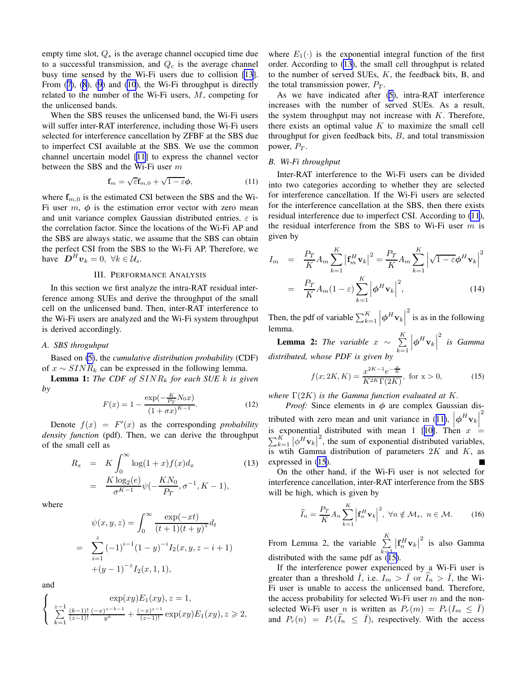<span id="page-2-0"></span>empty time slot,  $Q_s$  is the average channel occupied time due to a successful transmission, and  $Q_c$  is the average channel busy time sensed by the Wi-Fi users due to collision [\[13](#page-5-0)]. From  $(7)$  $(7)$ ,  $(8)$  $(8)$  $(8)$ ,  $(9)$  $(9)$  $(9)$  and  $(10)$  $(10)$  $(10)$ , the Wi-Fi throughput is directly related to the number of the Wi-Fi users, M, competing for the unlicensed bands.

When the SBS reuses the unlicensed band, the Wi-Fi users will suffer inter-RAT interference, including those Wi-Fi users selected for interference cancellation by ZFBF at the SBS due to imperfect CSI available at the SBS. We use the common channel uncertain model [[11\]](#page-5-0) to express the channel vector between the SBS and the Wi-Fi user m

$$
\mathbf{f}_m = \sqrt{\varepsilon} \mathbf{f}_{m,0} + \sqrt{1 - \varepsilon} \boldsymbol{\phi},\tag{11}
$$

where  $f_{m,0}$  is the estimated CSI between the SBS and the Wi-Fi user  $m$ ,  $\phi$  is the estimation error vector with zero mean and unit variance complex Gaussian distributed entries.  $\varepsilon$  is the correlation factor. Since the locations of the Wi-Fi AP and the SBS are always static, we assume that the SBS can obtain the perfect CSI from the SBS to the Wi-Fi AP. Therefore, we have  $\mathbf{D}^H \mathbf{v}_k = 0, \ \forall k \in \mathcal{U}_s$ .

# III. PERFORMANCE ANALYSIS

In this section we first analyze the intra-RAT residual interference among SUEs and derive the throughput of the small cell on the unlicensed band. Then, inter-RAT interference to the Wi-Fi users are analyzed and the Wi-Fi system throughput is derived accordingly.

## *A. SBS throguhput*

Based on [\(5\)](#page-1-0), the *cumulative distribution probability* (CDF) of  $x \sim SINR_k$  can be expressed in the following lemma.

Lemma 1: *The CDF of* SINR<sup>k</sup> *for each SUE* k *is given by*

$$
F(x) = 1 - \frac{\exp(-\frac{K}{Pr} N_0 x)}{(1 + \sigma x)^{K-1}}.
$$
 (12)

Denote  $f(x) = F'(x)$  as the corresponding *probability density function* (pdf). Then, we can derive the throughput of the small cell as

$$
R_s = K \int_0^\infty \log(1+x) f(x) d_x
$$
  
= 
$$
\frac{K \log_2(e)}{\sigma^{K-1}} \psi(-\frac{KN_0}{P_T}, \sigma^{-1}, K-1),
$$
 (13)

where

$$
\psi(x, y, z) = \int_0^\infty \frac{\exp(-xt)}{(t+1)(t+y)^z} dt
$$
  
= 
$$
\sum_{i=1}^z (-1)^{i-1} (1-y)^{-i} I_2(x, y, z - i + 1)
$$
  
+
$$
(y-1)^{-z} I_2(x, 1, 1),
$$

and

$$
\left\{\begin{array}{l}\exp(xy)E_1(xy),z=1,\\\sum\limits_{k=1}^{z-1}\frac{(k-1)!}{(z-1)!}\frac{(-x)^{z-k-1}}{y^k}+\frac{(-x)^{z-1}}{(z-1)!}\exp(xy)E_1(xy),z\geqslant 2,\end{array}\right.
$$

where  $E_1(\cdot)$  is the exponential integral function of the first order. According to (13), the small cell throughput is related to the number of served SUEs,  $K$ , the feedback bits, B, and the total transmission power,  $P_T$ .

As we have indicated after ([5](#page-1-0)), intra-RAT interference increases with the number of served SUEs. As a result, the system throughput may not increase with  $K$ . Therefore, there exists an optimal value  $K$  to maximize the small cell throughput for given feedback bits,  $B$ , and total transmission power,  $P_T$ .

# *B. Wi-Fi throughput*

Inter-RAT interference to the Wi-Fi users can be divided into two categories according to whether they are selected for interference cancellation. If the Wi-Fi users are selected for the interference cancellation at the SBS, then there exists residual interference due to imperfect CSI. According to (11), the residual interference from the SBS to Wi-Fi user  $m$  is given by

$$
I_m = \frac{P_T}{K} A_m \sum_{k=1}^K \left| \mathbf{f}_m^H \mathbf{v}_k \right|^2 = \frac{P_T}{K} A_m \sum_{k=1}^K \left| \sqrt{1 - \varepsilon} \boldsymbol{\phi}^H \mathbf{v}_k \right|^2
$$

$$
= \frac{P_T}{K} A_m (1 - \varepsilon) \sum_{k=1}^K \left| \boldsymbol{\phi}^H \mathbf{v}_k \right|^2, \tag{14}
$$

Then, the pdf of variable  $\sum_{k=1}^{K}$  $\left|\boldsymbol{\phi}^H\mathbf{v}_k\right|$  $\frac{2}{1}$  is as in the following lemma.

**Lemma 2:** *The variable*  $x \sim \sum_{i=1}^{K}$  $k=1$  $\left|\boldsymbol{\phi}^H\mathbf{v}_k\right|$ 2 *is Gamma distributed, whose PDF is given by*

$$
f(x; 2K, K) = \frac{x^{2K - 1}e^{-\frac{x}{K}}}{K^{2K}\Gamma(2K)}, \text{ for } x > 0,
$$
 (15)

*where* Γ(2K) *is the Gamma function evaluated at* K*.*

*Proof:* Since elements in  $\phi$  are complex Gaussian distributed with zero mean and unit variance in (11),  $|\phi^H \mathbf{v}_k|$ 2 is exponential distributed with mean 1 [[10\]](#page-5-0). Then  $x =$  $\sum_{k=1}^{K} |\phi^H \mathbf{v}_k|^2$ , the sum of exponential distributed variables, is wtih Gamma distribution of parameters  $2K$  and  $K$ , as expressed in (15).

On the other hand, if the Wi-Fi user is not selected for interference cancellation, inter-RAT interference from the SBS will be high, which is given by

$$
\widehat{I}_n = \frac{P_T}{K} A_n \sum_{k=1}^K \left| \mathbf{f}_n^H \mathbf{v}_k \right|^2, \ \forall n \notin \mathcal{M}_s, \ n \in \mathcal{M}.
$$
 (16)

From Lemma 2, the variable  $\sum_{k=1}^{K}$  $k=1$  $\left|\mathbf{f}_n^H \mathbf{v}_k\right|^2$  is also Gamma distributed with the same pdf as  $(15)$ .

If the interference power experienced by a Wi-Fi user is greater than a threshold  $\bar{I}$ , i.e.  $I_m > \bar{I}$  or  $\hat{I}_n > \bar{I}$ , the Wi-Fi user is unable to access the unlicensed band. Therefore, the access probability for selected Wi-Fi user  $m$  and the nonselected Wi-Fi user *n* is written as  $P_r(m) = P_r(I_m \leq \overline{I})$ and  $P_r(n) = P_r(\hat{I}_n \leq \bar{I})$ , respectively. With the access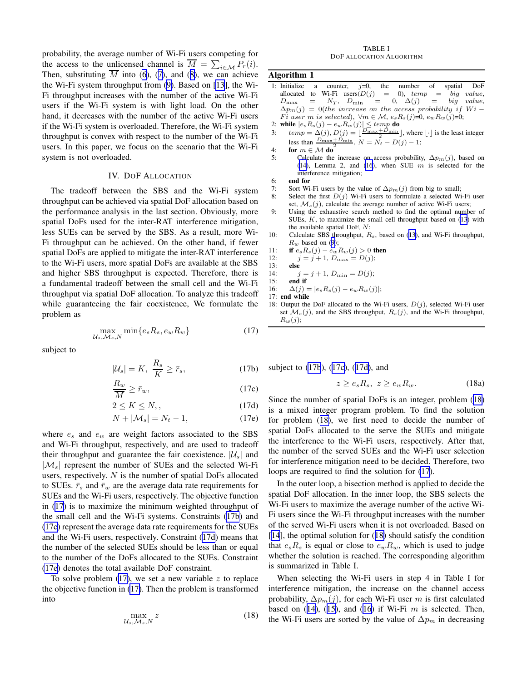probability, the average number of Wi-Fi users competing for the access to the unlicensed channel is  $\overline{M} = \sum_{i \in \mathcal{M}} P_r(i)$ . Then, substituting  $\overline{M}$  into [\(6](#page-1-0)), ([7\)](#page-1-0), and ([8\)](#page-1-0), we can achieve the Wi-Fi system throughput from ([9\)](#page-1-0). Based on [[13](#page-5-0)], the Wi-Fi throughput increases with the number of the active Wi-Fi users if the Wi-Fi system is with light load. On the other hand, it decreases with the number of the active Wi-Fi users if the Wi-Fi system is overloaded. Therefore, the Wi-Fi system throughput is convex with respect to the number of the Wi-Fi users. In this paper, we focus on the scenario that the Wi-Fi system is not overloaded.

# IV. DOF ALLOCATION

The tradeoff between the SBS and the Wi-Fi system throughput can be achieved via spatial DoF allocation based on the performance analysis in the last section. Obviously, more spatial DoFs used for the inter-RAT interference mitigation, less SUEs can be served by the SBS. As a result, more Wi-Fi throughput can be achieved. On the other hand, if fewer spatial DoFs are applied to mitigate the inter-RAT interference to the Wi-Fi users, more spatial DoFs are available at the SBS and higher SBS throughput is expected. Therefore, there is a fundamental tradeoff between the small cell and the Wi-Fi throughput via spatial DoF allocation. To analyze this tradeoff while guaranteeing the fair coexistence, We formulate the problem as

$$
\max_{\mathcal{U}_s, \mathcal{M}_s, N} \min\{e_s R_s, e_w R_w\} \tag{17}
$$

subject to

$$
|\mathcal{U}_s| = K, \ \frac{R_s}{K} \ge \bar{r}_s,\tag{17b}
$$

$$
\frac{R_w}{\overline{M}} \ge \overline{r}_w,\tag{17c}
$$

$$
2 \le K \le N, \qquad (17d)
$$

$$
N + |\mathcal{M}_s| = N_t - 1,\tag{17e}
$$

where  $e_s$  and  $e_w$  are weight factors associated to the SBS and Wi-Fi throughput, respectively, and are used to tradeoff their throughput and guarantee the fair coexistence.  $|\mathcal{U}_s|$  and  $|M_s|$  represent the number of SUEs and the selected Wi-Fi users, respectively. N is the number of spatial DoFs allocated to SUEs.  $\bar{r}_s$  and  $\bar{r}_w$  are the average data rate requirements for SUEs and the Wi-Fi users, respectively. The objective function in (17) is to maximize the minimum weighted throughput of the small cell and the Wi-Fi systems. Constraints (17b) and (17c) represent the average data rate requirements for the SUEs and the Wi-Fi users, respectively. Constraint (17d) means that the number of the selected SUEs should be less than or equal to the number of the DoFs allocated to the SUEs. Constraint (17e) denotes the total available DoF constraint.

To solve problem  $(17)$ , we set a new variable z to replace the objective function in (17). Then the problem is transformed into

$$
\max_{\mathcal{U}_s, \mathcal{M}_s, N} z \tag{18}
$$

#### TABLE I DOF ALLOCATION ALGORITHM

## Algorithm 1

- 1: Initialize a counter,  $j=0$ , the number of spatial DoF allocated to Wi-Fi users $(D(j) = 0)$ ,  $temp = big$  value,<br>  $D_{\text{max}} = N_T$ ,  $D_{\text{min}} = 0$ ,  $\Delta(j) = big$  value,  $N_T$ ,  $D_{\min}$  = 0,  $\Delta(j)$  = big value,  $\Delta p_m(j) = 0$ (the increase on the access probability if Wi – Fi user m is selected),  $\forall m \in \mathcal{M}$ ,  $e_s R_s(j)=0$ ,  $e_w R_w(j)=0$ ;
- 2: while  $|e_s R_s(j) e_w R_w(j)| \leq temp$  do
- 3:  $temp = \Delta(j), D(j) = \lfloor \frac{D_{\max} + D_{\min}}{2} \rfloor$  $\frac{\min}{s}$ , where  $\lfloor \cdot \rfloor$  is the least integer less than  $\frac{D_{\max}+D}{D_{\max}+D}$  $\min$ ,  $N = N_t - D(j) - 1$ ;
- 4: for  $m \in \mathcal{M}$  do<sup>2</sup>
- 5: Calculate the increase on access probability,  $\Delta p_m(j)$ , based on [\(14](#page-2-0)), Lemma 2, and [\(16](#page-2-0)), when SUE  $m$  is selected for the interference mitigation;
- 6: end for
- 7: Sort Wi-Fi users by the value of  $\Delta p_m(j)$  from big to small;<br>8: Select the first  $D(j)$  Wi-Fi users to formulate a selected Wi
- Select the first  $D(j)$  Wi-Fi users to formulate a selected Wi-Fi user set,  $\mathcal{M}_s(j)$ , calculate the average number of active Wi-Fi users;
- 9: Using the exhaustive search method to find the optimal number of SUEs, K, to maximize the small cell throughput based on [\(13](#page-2-0)) with the available spatial DoF, N;
- 10: Calculate SBS throughput,  $R_s$ , based on ([13\)](#page-2-0), and Wi-Fi throughput,  $R_w$  based on ([9\)](#page-1-0);
- 11: **if**  $e_s R_s(j) e_w R_w(j) > 0$  then
- 12:  $j = j + 1, D_{\text{max}} = D(j);$

$$
13: \qquad else
$$

14: 
$$
j = j + 1, D_{\min} = D(j);
$$
  
15: **end if**

- 16:  $\Delta(j) = |e_s R_s(j) e_w R_w(j)|;$
- 17: end while
- 18: Output the DoF allocated to the Wi-Fi users,  $D(j)$ , selected Wi-Fi user set  $\mathcal{M}_s(j)$ , and the SBS throughput,  $R_s(j)$ , and the Wi-Fi throughput,  $R_w(j);$

subject to (17b), (17c), (17d), and

$$
z \ge e_s R_s, \ z \ge e_w R_w. \tag{18a}
$$

Since the number of spatial DoFs is an integer, problem (18) is a mixed integer program problem. To find the solution for problem (18), we first need to decide the number of spatial DoFs allocated to the serve the SUEs and mitigate the interference to the Wi-Fi users, respectively. After that, the number of the served SUEs and the Wi-Fi user selection for interference mitigation need to be decided. Therefore, two loops are required to find the solution for (17).

In the outer loop, a bisection method is applied to decide the spatial DoF allocation. In the inner loop, the SBS selects the Wi-Fi users to maximize the average number of the active Wi-Fi users since the Wi-Fi throughput increases with the number of the served Wi-Fi users when it is not overloaded. Based on [\[14](#page-5-0)], the optimal solution for (18) should satisfy the condition that  $e_sR_s$  is equal or close to  $e_wR_w$ , which is used to judge whether the solution is reached. The corresponding algorithm is summarized in Table I.

When selecting the Wi-Fi users in step 4 in Table I for interference mitigation, the increase on the channel access probability,  $\Delta p_m(j)$ , for each Wi-Fi user m is first calculated based on ([14\)](#page-2-0), ([15\)](#page-2-0), and ([16\)](#page-2-0) if Wi-Fi  $m$  is selected. Then, the Wi-Fi users are sorted by the value of  $\Delta p_m$  in decreasing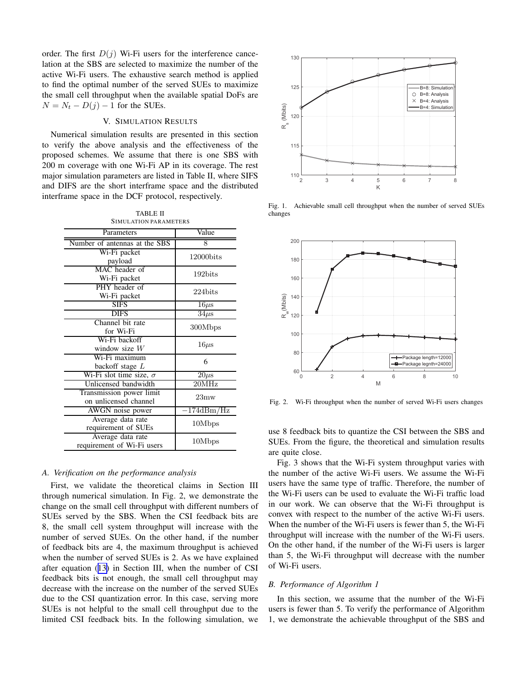order. The first  $D(i)$  Wi-Fi users for the interference cancelation at the SBS are selected to maximize the number of the active Wi-Fi users. The exhaustive search method is applied to find the optimal number of the served SUEs to maximize the small cell throughput when the available spatial DoFs are  $N = N_t - D(j) - 1$  for the SUEs.

## V. SIMULATION RESULTS

Numerical simulation results are presented in this section to verify the above analysis and the effectiveness of the proposed schemes. We assume that there is one SBS with 200 m coverage with one Wi-Fi AP in its coverage. The rest major simulation parameters are listed in Table II, where SIFS and DIFS are the short interframe space and the distributed interframe space in the DCF protocol, respectively.

TABLE II SIMULATION PARAMETERS

| Parameters                                        | Value                 |
|---------------------------------------------------|-----------------------|
| Number of antennas at the SBS                     | 8                     |
| Wi-Fi packet<br>payload                           | 12000bits             |
| MAC header of<br>Wi-Fi packet                     | 192bits               |
| PHY header of<br>Wi-Fi packet                     | 224bits               |
| <b>SIFS</b>                                       | $16\mu s$             |
| <b>DIFS</b>                                       | $34\mu s$             |
| Channel bit rate<br>for Wi-Fi                     | 300Mbps               |
| Wi-Fi backoff<br>window size $W$                  | $16 \mu s$            |
| Wi-Fi maximum<br>backoff stage $L$                | 6                     |
| Wi-Fi slot time size, $\sigma$                    | $20\mu s$             |
| Unlicensed bandwidth                              | 20MHz                 |
| Transmission power limit<br>on unlicensed channel | 23 <sub>mw</sub>      |
| AWGN noise power                                  | $-174\mathrm{dBm/Hz}$ |
| Average data rate<br>requirement of SUEs          | 10Mbps                |
| Average data rate<br>requirement of Wi-Fi users   | 10Mbps                |

# *A. Verification on the performance analysis*

First, we validate the theoretical claims in Section III through numerical simulation. In Fig. 2, we demonstrate the change on the small cell throughput with different numbers of SUEs served by the SBS. When the CSI feedback bits are 8, the small cell system throughput will increase with the number of served SUEs. On the other hand, if the number of feedback bits are 4, the maximum throughput is achieved when the number of served SUEs is 2. As we have explained after equation ([13\)](#page-2-0) in Section III, when the number of CSI feedback bits is not enough, the small cell throughput may decrease with the increase on the number of the served SUEs due to the CSI quantization error. In this case, serving more SUEs is not helpful to the small cell throughput due to the limited CSI feedback bits. In the following simulation, we



Fig. 1. Achievable small cell throughput when the number of served SUEs changes



Fig. 2. Wi-Fi throughput when the number of served Wi-Fi users changes

use 8 feedback bits to quantize the CSI between the SBS and SUEs. From the figure, the theoretical and simulation results are quite close.

Fig. 3 shows that the Wi-Fi system throughput varies with the number of the active Wi-Fi users. We assume the Wi-Fi users have the same type of traffic. Therefore, the number of the Wi-Fi users can be used to evaluate the Wi-Fi traffic load in our work. We can observe that the Wi-Fi throughput is convex with respect to the number of the active Wi-Fi users. When the number of the Wi-Fi users is fewer than 5, the Wi-Fi throughput will increase with the number of the Wi-Fi users. On the other hand, if the number of the Wi-Fi users is larger than 5, the Wi-Fi throughput will decrease with the number of Wi-Fi users.

## *B. Performance of Algorithm 1*

In this section, we assume that the number of the Wi-Fi users is fewer than 5. To verify the performance of Algorithm 1, we demonstrate the achievable throughput of the SBS and